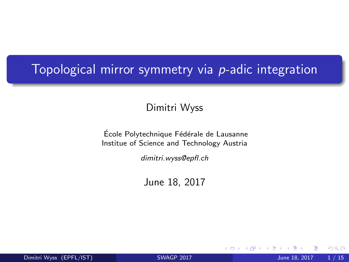# <span id="page-0-0"></span>Topological mirror symmetry via *p*-adic integration

Dimitri Wyss

École Polytechnique Fédérale de Lausanne Institue of Science and Technology Austria

dimitri.wyss@epfl.ch

June 18, 2017

4 0 8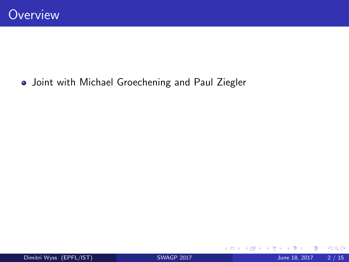### Joint with Michael Groechening and Paul Ziegler

◆ ロ ▶ → 伊

 $\rightarrow$ 

 $299$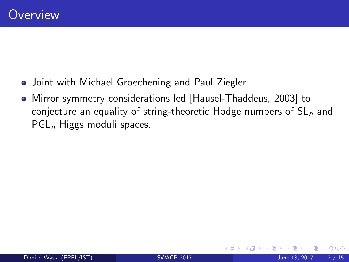- Joint with Michael Groechening and Paul Ziegler
- Mirror symmetry considerations led [Hausel-Thaddeus, 2003] to conjecture an equality of string-theoretic Hodge numbers of  $SL<sub>n</sub>$  and  $PGL_n$  Higgs moduli spaces.

4 0 8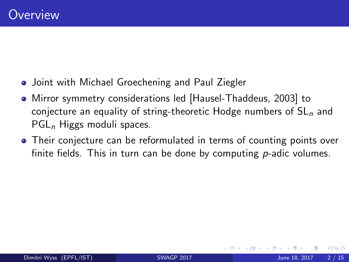- Joint with Michael Groechening and Paul Ziegler
- Mirror symmetry considerations led [Hausel-Thaddeus, 2003] to conjecture an equality of string-theoretic Hodge numbers of  $SL<sub>n</sub>$  and  $PGL_n$  Higgs moduli spaces.
- Their conjecture can be reformulated in terms of counting points over finite fields. This in turn can be done by computing  $p$ -adic volumes.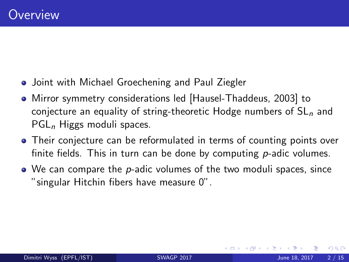- Joint with Michael Groechening and Paul Ziegler
- Mirror symmetry considerations led [Hausel-Thaddeus, 2003] to conjecture an equality of string-theoretic Hodge numbers of  $SL<sub>n</sub>$  and  $PGL_n$  Higgs moduli spaces.
- Their conjecture can be reformulated in terms of counting points over finite fields. This in turn can be done by computing  $p$ -adic volumes.
- $\bullet$  We can compare the p-adic volumes of the two moduli spaces, since "singular Hitchin fibers have measure 0".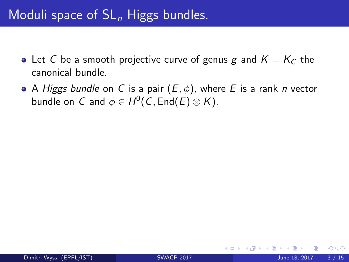- Let C be a smooth projective curve of genus g and  $K = K_C$  the canonical bundle.
- A Higgs bundle on C is a pair  $(E, \phi)$ , where E is a rank n vector bundle on  $\, C \,$  and  $\phi \in H^0(\, C, \operatorname{\mathsf{End}}\nolimits(E) \otimes K).$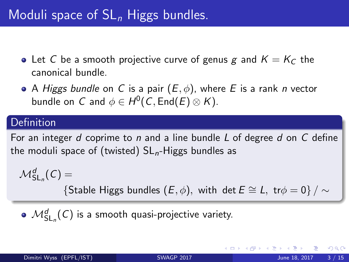- Let C be a smooth projective curve of genus g and  $K = K_C$  the canonical bundle.
- A Higgs bundle on C is a pair  $(E, \phi)$ , where E is a rank n vector bundle on  $\, C \,$  and  $\phi \in H^0(\, C, \operatorname{\mathsf{End}}\nolimits(E) \otimes K).$

#### **Definition**

For an integer d coprime to n and a line bundle L of degree d on  $C$  define the moduli space of (twisted)  $SL_n$ -Higgs bundles as

$$
\mathcal{M}^d_{{\mathsf{SL}}_n}(\mathcal{C})=\{ \text{Stable Higgs bundles } (E,\phi), \text{ with } \det E\cong L, \; \mathsf{tr}\phi=0 \} \, / \sim
$$

 $\mathcal{M}^d_{\mathsf{SL}_n}(\mathcal{C})$  is a smooth quasi-projective variety.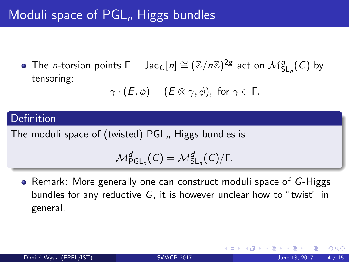# <span id="page-7-0"></span>Moduli space of  $PGL_n$  Higgs bundles

The *n*-torsion points  $\Gamma = \mathsf{Jac}_\mathcal{C}[n] \cong (\mathbb{Z}/n\mathbb{Z})^{2g}$  act on  $\mathcal{M}^d_{\mathsf{SL}_n}(\mathcal{C})$  by tensoring:

$$
\gamma \cdot (E, \phi) = (E \otimes \gamma, \phi), \text{ for } \gamma \in \Gamma.
$$

### Definition

The moduli space of (twisted)  $PGL_n$  Higgs bundles is

$$
\mathcal{M}^d_{\mathsf{PGL}_n}(\mathsf{C})=\mathcal{M}^d_{\mathsf{SL}_n}(\mathsf{C})/\Gamma.
$$

• Remark: More generally one can construct moduli space of G-Higgs bundles for any reductive G, it is however unclear how to "twist" in general.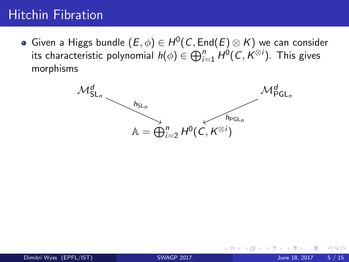# <span id="page-8-0"></span>Hitchin Fibration

Given a Higgs bundle  $(E,\phi)\in H^0(\mathcal{C},\mathsf{End}(E)\otimes K)$  we can consider its characteristic polynomial  $h(\phi)\in \bigoplus_{i=1}^n H^0(\mathcal{C},K^{\otimes i}).$  This gives morphisms

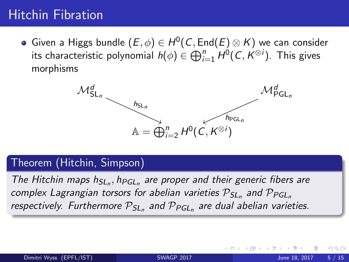# <span id="page-9-0"></span>Hitchin Fibration

Given a Higgs bundle  $(E,\phi)\in H^0(\mathcal{C},\mathsf{End}(E)\otimes K)$  we can consider its characteristic polynomial  $h(\phi)\in \bigoplus_{i=1}^n H^0(\mathcal{C},K^{\otimes i}).$  This gives morphisms



### Theorem (Hitchin, Simpson)

The Hitchin maps  $h_{SL_n}$ ,  $h_{PGL_n}$  are proper and their generic fibers are complex Lagrangian torsors for abelian varieties  $\mathcal{P}_{SL_n}$  and  $\mathcal{P}_{PGL_n}$ respectively. Furthermore  $\mathcal{P}_{SL_n}$  and  $\mathcal{P}_{PGL_n}$  are dual abelian varieties.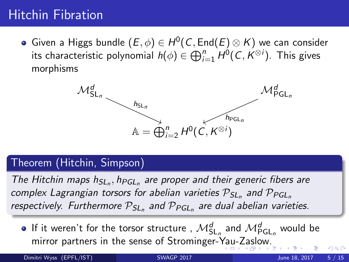# <span id="page-10-0"></span>Hitchin Fibration

Given a Higgs bundle  $(E,\phi)\in H^0(\mathcal{C},\mathsf{End}(E)\otimes K)$  we can consider its characteristic polynomial  $h(\phi)\in \bigoplus_{i=1}^n H^0(\mathcal{C},K^{\otimes i}).$  This gives morphisms



### Theorem (Hitchin, Simpson)

The Hitchin maps  $h_{SL_n}$ ,  $h_{PGL_n}$  are proper and their generic fibers are complex Lagrangian torsors for abelian varieties  $\mathcal{P}_{SL_n}$  and  $\mathcal{P}_{PGL_n}$ respectively. Furthermore  $\mathcal{P}_{SL_n}$  and  $\mathcal{P}_{PGL_n}$  are dual abelian varieties.

If it weren't for the torsor structure ,  $\mathcal{M}^d_{\mathsf{SL}_n}$  and  $\mathcal{M}^d_{\mathsf{PGL}_n}$  would be mirror partners in the sense of Strominger-[Ya](#page-9-0)u[-Z](#page-11-0)[a](#page-7-0)[s](#page-8-0)[l](#page-10-0)[o](#page-11-0)[w.](#page-0-0)

Dimitri Wyss (EPFL/IST) [SWAGP 2017](#page-0-0) June 18, 2017 5 / 15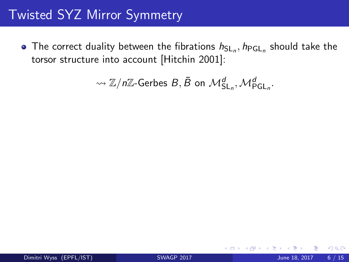# <span id="page-11-0"></span>Twisted SYZ Mirror Symmetry

The correct duality between the fibrations  $h_{\sf SL}_n, h_{\sf PGL}_n$  should take the torsor structure into account [Hitchin 2001]:

$$
\rightsquigarrow \mathbb{Z}/n\mathbb{Z}\text{-Gerbes }B,\bar{B} \text{ on } \mathcal{M}^d_{\mathsf{SL}_n}, \mathcal{M}^d_{\mathsf{PGL}_n}.
$$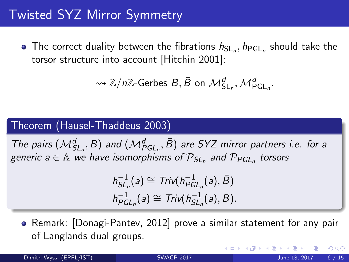# Twisted SYZ Mirror Symmetry

The correct duality between the fibrations  $h_{\sf SL}_n, h_{\sf PGL}_n$  should take the torsor structure into account [Hitchin 2001]:

$$
\rightsquigarrow \mathbb{Z}/n\mathbb{Z}\text{-Gerbes }B,\bar{B} \text{ on } \mathcal{M}^d_{\mathsf{SL}_n}, \mathcal{M}^d_{\mathsf{PGL}_n}.
$$

#### Theorem (Hausel-Thaddeus 2003)

The pairs  $(\mathcal{M}_{SL_n}^d, B)$  and  $(\mathcal{M}_{PGL_n}^d, \bar{B})$  are SYZ mirror partners i.e. for a generic  $a \in A$  we have isomorphisms of  $P_{SL_n}$  and  $P_{PGL_n}$  torsors

$$
h_{SL_n}^{-1}(a) \cong Triv(h_{PGL_n}^{-1}(a), \overline{B})
$$
  

$$
h_{PGL_n}^{-1}(a) \cong Triv(h_{SL_n}^{-1}(a), B).
$$

• Remark: [Donagi-Pantev, 2012] prove a similar statement for any pair of Langlands dual groups.

Dimitri Wyss (EPFL/IST) [SWAGP 2017](#page-0-0) June 18, 2017 6 / 15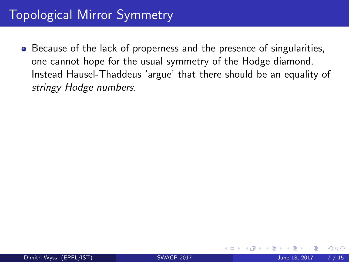# Topological Mirror Symmetry

• Because of the lack of properness and the presence of singularities, one cannot hope for the usual symmetry of the Hodge diamond. Instead Hausel-Thaddeus 'argue' that there should be an equality of stringy Hodge numbers.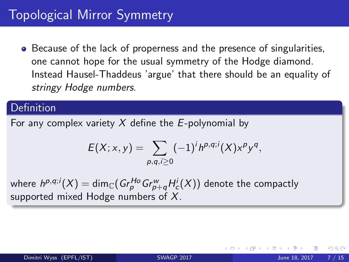• Because of the lack of properness and the presence of singularities, one cannot hope for the usual symmetry of the Hodge diamond. Instead Hausel-Thaddeus 'argue' that there should be an equality of stringy Hodge numbers.

#### Definition

For any complex variety  $X$  define the E-polynomial by

$$
E(X; x, y) = \sum_{p,q,i \geq 0} (-1)^i h^{p,q;i}(X) x^p y^q,
$$

where  $h^{p,q;i}(X)=\dim_\mathbb{C}({Gr}^{Ho}_pGr^w_{p+q}H^i_c(X))$  denote the compactly supported mixed Hodge numbers of  $X$ .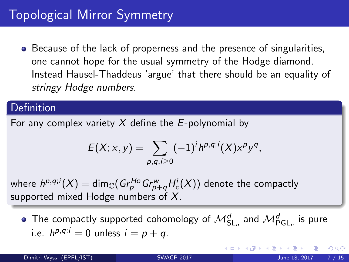<span id="page-15-0"></span>• Because of the lack of properness and the presence of singularities, one cannot hope for the usual symmetry of the Hodge diamond. Instead Hausel-Thaddeus 'argue' that there should be an equality of stringy Hodge numbers.

#### Definition

For any complex variety  $X$  define the E-polynomial by

$$
E(X; x, y) = \sum_{p,q,i \geq 0} (-1)^i h^{p,q;i}(X) x^p y^q,
$$

where  $h^{p,q;i}(X)=\dim_\mathbb{C}({Gr}^{Ho}_pGr^w_{p+q}H^i_c(X))$  denote the compactly supported mixed Hodge numbers of  $X$ .

The compactly supported cohomology of  $\mathcal{M}^d_{\mathsf{SL}_n}$  and  $\mathcal{M}^d_{\mathsf{PGL}_n}$  is pure i.e.  $h^{p,q;i} = 0$  unless  $i = p + q$ .

つひひ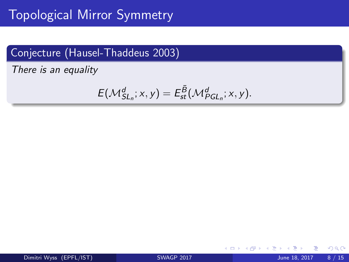# <span id="page-16-0"></span>Topological Mirror Symmetry

### Conjecture (Hausel-Thaddeus 2003)

There is an equality

$$
E(\mathcal{M}_{SL_n}^d; x, y) = E_{st}^{\overline{B}}(\mathcal{M}_{PGL_n}^d; x, y).
$$

4 0 8

 $299$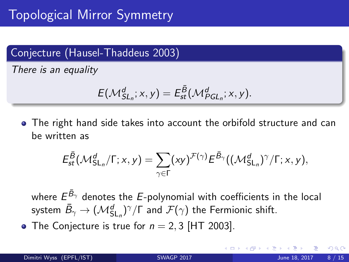### Conjecture (Hausel-Thaddeus 2003)

There is an equality

$$
E(\mathcal{M}_{SL_n}^d; x, y) = E_{st}^{\overline{B}}(\mathcal{M}_{PGL_n}^d; x, y).
$$

The right hand side takes into account the orbifold structure and can be written as

$$
E_{st}^{\bar{B}}(\mathcal{M}_{SL_n}^d/\Gamma; x, y) = \sum_{\gamma \in \Gamma} (xy)^{\mathcal{F}(\gamma)} E^{\bar{B}_{\gamma}}((\mathcal{M}_{SL_n}^d)^{\gamma}/\Gamma; x, y),
$$

where  $E^{\bar{\mathcal{B}}_{\gamma}}$  denotes the  $E$ -polynomial with coefficients in the local system  $\bar B_\gamma \to (\mathcal{M}^d_{{\mathsf{SL}}_n})^\gamma/\Gamma$  and  $\mathcal F(\gamma)$  the Fermionic shift.

• The Conjecture is true for  $n = 2, 3$  [HT 2003].

つへへ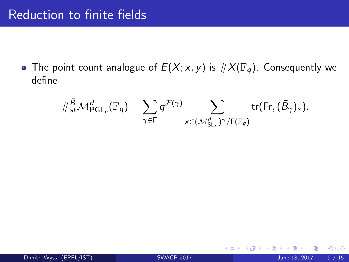# Reduction to finite fields

• The point count analogue of  $E(X; x, y)$  is  $\#X(\mathbb{F}_q)$ . Consequently we define

<span id="page-18-0"></span>
$$
\#_{st}^{\bar{B}}\mathcal{M}_{\mathsf{PGL}_n}^d(\mathbb{F}_q) = \sum_{\gamma \in \Gamma} q^{\mathcal{F}(\gamma)} \sum_{x \in (\mathcal{M}_{\mathsf{SL}_n}^d)^{\gamma}/\Gamma(\mathbb{F}_q)} \mathrm{tr}(\mathsf{Fr}, (\bar{B}_{\gamma})_x).
$$

4 0 8

 $QQ$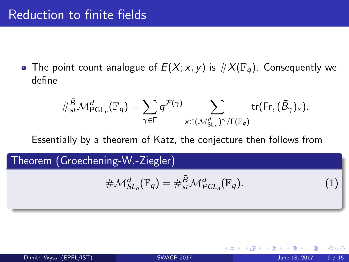• The point count analogue of  $E(X; x, y)$  is  $\#X(\mathbb{F}_q)$ . Consequently we define

$$
\#_{st}^{\bar{B}}\mathcal{M}_{\mathsf{PGL}_n}^d(\mathbb{F}_q) = \sum_{\gamma \in \Gamma} q^{\mathcal{F}(\gamma)} \sum_{x \in (\mathcal{M}_{\mathsf{SL}_n}^d)^{\gamma}/\Gamma(\mathbb{F}_q)} \mathrm{tr}(\mathsf{Fr}, (\bar{B}_{\gamma})_x).
$$

Essentially by a theorem of Katz, the conjecture then follows from

Theorem (Groechening-W.-Ziegler)

$$
\#M_{SL_n}^d(\mathbb{F}_q) = \#_{st}^{\bar{B}}\mathcal{M}_{PGL_n}^d(\mathbb{F}_q). \tag{1}
$$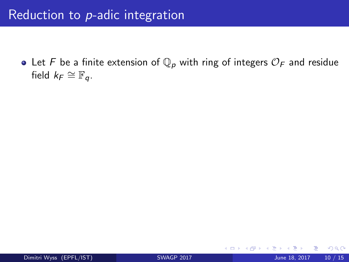# Reduction to p-adic integration

• Let F be a finite extension of  $\mathbb{Q}_p$  with ring of integers  $\mathcal{O}_F$  and residue field  $k_F \cong \mathbb{F}_q$ .

4 0 8

 $299$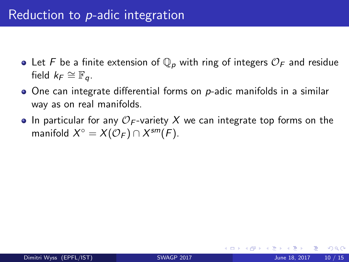- Let F be a finite extension of  $\mathbb{Q}_p$  with ring of integers  $\mathcal{O}_F$  and residue field  $k_F \cong \mathbb{F}_q$ .
- $\bullet$  One can integrate differential forms on p-adic manifolds in a similar way as on real manifolds.
- In particular for any  $\mathcal{O}_F$ -variety X we can integrate top forms on the manifold  $X^{\circ} = X(\mathcal{O}_F) \cap X^{sm}(F)$ .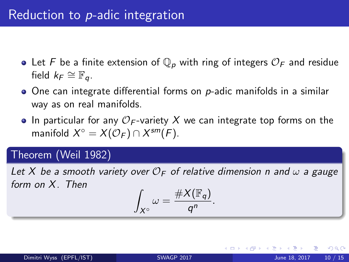- Let F be a finite extension of  $\mathbb{Q}_p$  with ring of integers  $\mathcal{O}_F$  and residue field  $k_F \cong \mathbb{F}_q$ .
- $\bullet$  One can integrate differential forms on p-adic manifolds in a similar way as on real manifolds.
- In particular for any  $\mathcal{O}_F$ -variety X we can integrate top forms on the manifold  $X^{\circ} = X(\mathcal{O}_F) \cap X^{sm}(F)$ .

### Theorem (Weil 1982)

Let X be a smooth variety over  $\mathcal{O}_F$  of relative dimension n and  $\omega$  a gauge form on X. Then Z

$$
\int_{X^{\circ}} \omega = \frac{\#X(\mathbb{F}_q)}{q^n}.
$$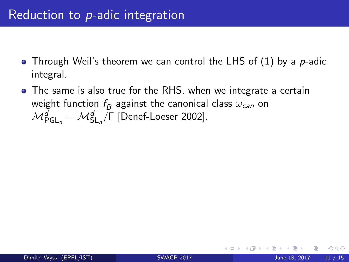- Through Weil's theorem we can control the LHS of  $(1)$  by a p-adic integral.
- The same is also true for the RHS, when we integrate a certain weight function  $f_{\bar{B}}$  against the canonical class  $\omega_{can}$  on  $\mathcal{M}_{\mathsf{PGL}_n}^d = \mathcal{M}_{\mathsf{SL}_n}^d/\mathsf{\Gamma}$  [Denef-Loeser 2002].

つひひ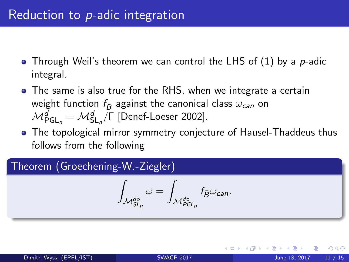- Through Weil's theorem we can control the LHS of  $(1)$  by a p-adic integral.
- The same is also true for the RHS, when we integrate a certain weight function  $f_{\bar{B}}$  against the canonical class  $\omega_{can}$  on  $\mathcal{M}_{\mathsf{PGL}_n}^d = \mathcal{M}_{\mathsf{SL}_n}^d/\mathsf{\Gamma}$  [Denef-Loeser 2002].
- The topological mirror symmetry conjecture of Hausel-Thaddeus thus follows from the following

### Theorem (Groechening-W.-Ziegler)

$$
\int_{\mathcal{M}_{SL_n}^{d\circ}} \omega = \int_{\mathcal{M}_{PGL_n}^{d\circ}} f_{\bar{B}} \omega_{\mathrm{can}}.
$$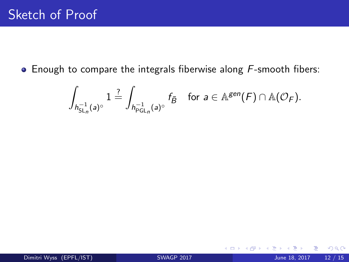$\bullet$  Enough to compare the integrals fiberwise along  $F$ -smooth fibers:

$$
\int_{h^{-1}_{{\operatorname{SL}}_n}(a)^\circ}1\stackrel{?}{=}\int_{h^{-1}_{{\operatorname{PGL}}_n}(a)^\circ}f_{\tilde{B}}\quad\text{for}\,\,a\in\mathbb A^{\mathrm{gen}}(\digamma)\cap\mathbb A({\mathcal O}_{\operatorname{\mathsf{F}}}).
$$

4 0 8

 $298$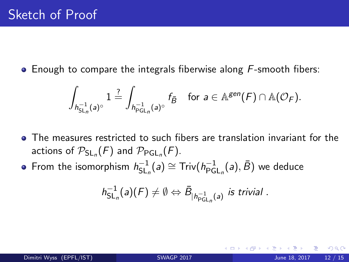$\bullet$  Enough to compare the integrals fiberwise along  $F$ -smooth fibers:

$$
\int_{h^{-1}_{{\operatorname{SL}}_n}(a)^{\circ}}1\stackrel{?}{=}\int_{h^{-1}_{{\operatorname{PGL}}_n}(a)^{\circ}}f_{\bar{B}}\quad\text{for}\,\,a\in\mathbb A^{\mathrm{gen}}(F)\cap\mathbb A({\mathcal O}_F).
$$

- The measures restricted to such fibers are translation invariant for the actions of  $\mathcal{P}_{\mathsf{SL}_n}(F)$  and  $\mathcal{P}_{\mathsf{PGL}_n}(F)$ .
- From the isomorphism  $h_{\rm SL}^{-1}$  $\zeta_{\mathsf{SL}_n}^{-1}(a) \cong \mathsf{Triv}(h_{\mathsf{PG}}^{-1}$  $_{\mathsf{PGL}_n}^{-1}(a),\bar{B})$  we deduce

$$
h_{\operatorname{SL}_n}^{-1}(a)(F) \neq \emptyset \Leftrightarrow \bar{B}_{|h_{\operatorname{PGL}_n}^{-1}(a)} \text{ is trivial }.
$$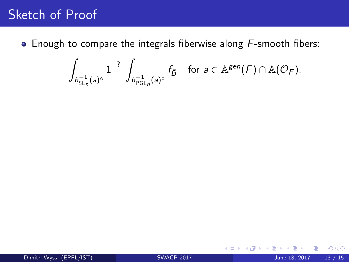# Sketch of Proof

 $\bullet$  Enough to compare the integrals fiberwise along  $F$ -smooth fibers:

$$
\int_{h^{-1}_{{\rm SL}_n}(a)^\circ}1\stackrel{?}{=}\int_{h^{-1}_{{\rm PGL}_n}(a)^\circ}f_{\bar{B}}\quad\text{for}\,\,a\in{\mathbb A}^{gen}(F)\cap{\mathbb A}({\mathcal O}_F).
$$

4 0 8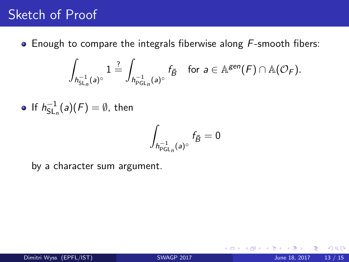# <span id="page-28-0"></span>Sketch of Proof

• Enough to compare the integrals fiberwise along F-smooth fibers:

$$
\int_{h^{-1}_{{\rm SL}_n}(a)^\circ}1\stackrel{?}{=}\int_{h^{-1}_{{\rm PGL}_n}(a)^\circ}f_{\bar{B}}\quad\text{for}\,\,a\in{\mathbb A}^{gen}(F)\cap{\mathbb A}({\mathcal O}_F).
$$

If  $h_{\sf SL}^{-1}$  $\overline{\mathsf{SL}}_n^{-1}(a)(F)=\emptyset$ , then

$$
\int_{h^{-1}_{\mathsf{PGL}_n}(\mathsf{a})^\circ}f_{\bar{B}}=0
$$

 $\epsilon$ 

by a character sum argument.

4 0 8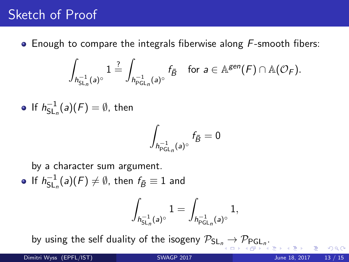# <span id="page-29-0"></span>Sketch of Proof

 $\bullet$  Enough to compare the integrals fiberwise along  $F$ -smooth fibers:

$$
\int_{h^{-1}_{{\rm SL}_n}(a)^\circ}1\stackrel{?}{=}\int_{h^{-1}_{{\rm PGL}_n}(a)^\circ}f_{\bar{B}}\quad\text{for}\,\,a\in{\mathbb A}^{gen}(F)\cap{\mathbb A}({\mathcal O}_F).
$$

• If 
$$
h_{\mathrm{SL}_n}^{-1}(a)(F) = \emptyset
$$
, then

$$
\int_{h^{-1}_{\mathsf{PGL}_n}(\mathsf{a})^\circ}f_{\bar{B}}=0
$$

by a character sum argument.

If  $h^{-1}_{\sf SI}$  $\overline{\mathsf{SL}}_n^{\mathsf{L}}(a)(\mathsf{F})\neq\emptyset$ , then  $f_{\bar{\mathcal{B}}}\equiv 1$  and

$$
\int_{h^{-1}_{\mathrm{SL}_n}(a)^\circ} 1 = \int_{h^{-1}_{\mathrm{PGL}_n}(a)^\circ} 1,
$$

by usi[n](#page-15-0)g the self duality of the isogeny  $\mathcal{P}_{\mathsf{SL}_n}\to\mathcal{P}_{\mathsf{PGL}_n}.$  $\mathcal{P}_{\mathsf{SL}_n}\to\mathcal{P}_{\mathsf{PGL}_n}.$  $\mathcal{P}_{\mathsf{SL}_n}\to\mathcal{P}_{\mathsf{PGL}_n}.$  $\mathcal{P}_{\mathsf{SL}_n}\to\mathcal{P}_{\mathsf{PGL}_n}.$  $\mathcal{P}_{\mathsf{SL}_n}\to\mathcal{P}_{\mathsf{PGL}_n}.$  $\mathcal{P}_{\mathsf{SL}_n}\to\mathcal{P}_{\mathsf{PGL}_n}.$  $\mathcal{P}_{\mathsf{SL}_n}\to\mathcal{P}_{\mathsf{PGL}_n}.$ 

 $\epsilon$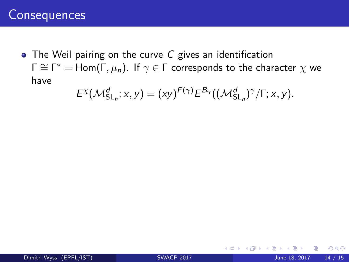# <span id="page-30-0"></span>**Consequences**

• The Weil pairing on the curve C gives an identification  $\Gamma\cong\Gamma^*=\mathsf{Hom}(\Gamma,\mu_\mathsf{n})$ . If  $\gamma\in\Gamma$  corresponds to the character  $\chi$  we have

$$
E^{\chi}(\mathcal{M}^d_{\mathsf{SL}_n}; x, y) = (xy)^{F(\gamma)} E^{\overline{B}_{\gamma}}((\mathcal{M}^d_{\mathsf{SL}_n})^{\gamma}/\Gamma; x, y).
$$

4 0 8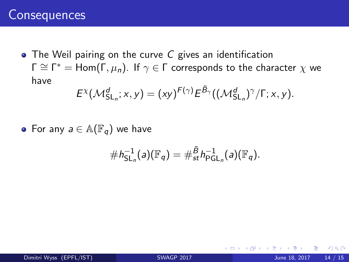# <span id="page-31-0"></span>**Consequences**

• The Weil pairing on the curve C gives an identification  $\Gamma\cong\Gamma^*=\mathsf{Hom}(\Gamma,\mu_\mathsf{n})$ . If  $\gamma\in\Gamma$  corresponds to the character  $\chi$  we have

$$
E^{\chi}(\mathcal{M}^d_{\mathsf{SL}_n}; x, y) = (xy)^{F(\gamma)} E^{\overline{B}_{\gamma}}((\mathcal{M}^d_{\mathsf{SL}_n})^{\gamma}/\Gamma; x, y).
$$

• For any  $a \in \mathbb{A}(\mathbb{F}_q)$  we have

$$
\#h_{\mathrm{SL}_n}^{-1}(a)(\mathbb{F}_q)=\#_{st}^{\bar{B}}h_{\mathrm{PGL}_n}^{-1}(a)(\mathbb{F}_q).
$$

4 0 8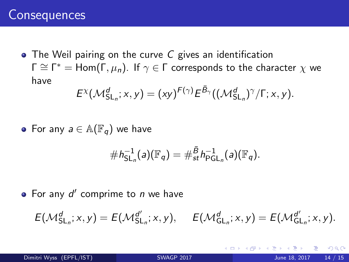# <span id="page-32-0"></span>**Consequences**

• The Weil pairing on the curve C gives an identification  $\Gamma \cong \Gamma^\ast= {\sf Hom}(\Gamma,\mu_n).$  If  $\gamma \in \Gamma$  corresponds to the character  $\chi$  we have

$$
E^{\chi}(\mathcal{M}^d_{\mathsf{SL}_n}; x, y) = (xy)^{F(\gamma)} E^{\overline{B}_{\gamma}}((\mathcal{M}^d_{\mathsf{SL}_n})^{\gamma}/\Gamma; x, y).
$$

• For any  $a \in \mathbb{A}(\mathbb{F}_q)$  we have

$$
\#h_{\mathsf{SL}_n}^{-1}(a)(\mathbb{F}_q)=\#\overset{\bar{B}}{\mathsf{s}}\,h_{\mathsf{PGL}_n}^{-1}(a)(\mathbb{F}_q).
$$

For any  $d'$  comprime to  $n$  we have

$$
E(\mathcal{M}_{\mathsf{SL}_n}^d; x, y) = E(\mathcal{M}_{\mathsf{SL}_n}^{d'}, x, y), \quad E(\mathcal{M}_{\mathsf{GL}_n}^d; x, y) = E(\mathcal{M}_{\mathsf{GL}_n}^{d'}; x, y).
$$